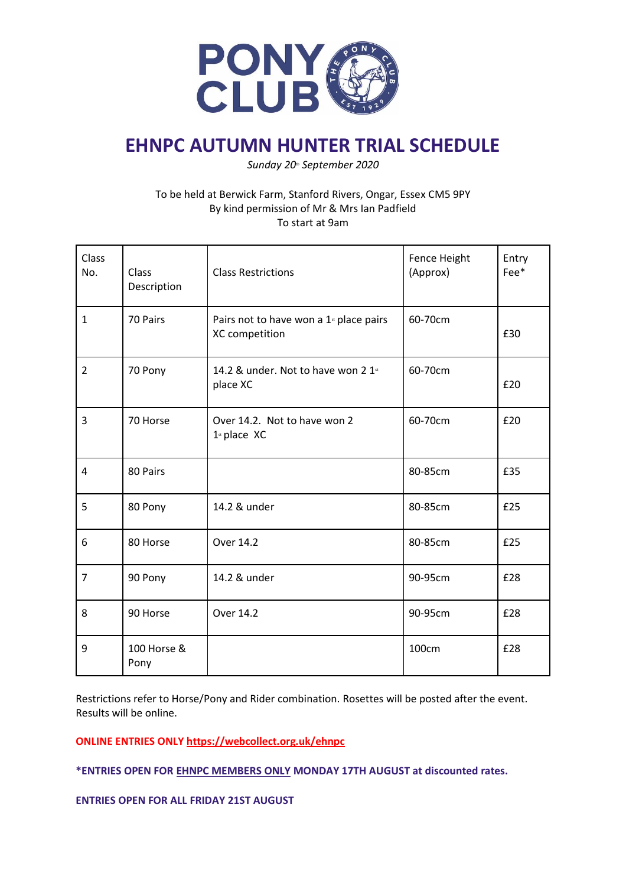

# **EHNPC AUTUMN HUNTER TRIAL SCHEDULE**

*Sunday 20th September 2020*

## To be held at Berwick Farm, Stanford Rivers, Ongar, Essex CM5 9PY By kind permission of Mr & Mrs Ian Padfield To start at 9am

| Class<br>No.   | Class<br>Description | <b>Class Restrictions</b>                                             | Fence Height<br>(Approx) | Entry<br>Fee* |
|----------------|----------------------|-----------------------------------------------------------------------|--------------------------|---------------|
| $\mathbf{1}$   | 70 Pairs             | Pairs not to have won a 1 <sup>st</sup> place pairs<br>XC competition | 60-70cm                  | £30           |
| $\overline{2}$ | 70 Pony              | 14.2 & under. Not to have won 2 1st<br>place XC                       | 60-70cm                  | £20           |
| 3              | 70 Horse             | Over 14.2. Not to have won 2<br>$1st$ place XC                        | 60-70cm                  | £20           |
| 4              | 80 Pairs             |                                                                       | 80-85cm                  | £35           |
| 5              | 80 Pony              | 14.2 & under                                                          | 80-85cm                  | £25           |
| 6              | 80 Horse             | Over 14.2                                                             | 80-85cm                  | £25           |
| $\overline{7}$ | 90 Pony              | 14.2 & under                                                          | 90-95cm                  | £28           |
| 8              | 90 Horse             | Over 14.2                                                             | 90-95cm                  | £28           |
| 9              | 100 Horse &<br>Pony  |                                                                       | 100cm                    | £28           |

Restrictions refer to Horse/Pony and Rider combination. Rosettes will be posted after the event. Results will be online.

#### **ONLINE ENTRIES ONLY<https://webcollect.org.uk/ehnpc>**

**\*ENTRIES OPEN FOR EHNPC MEMBERS ONLY MONDAY 17TH AUGUST at discounted rates.**

**ENTRIES OPEN FOR ALL FRIDAY 21ST AUGUST**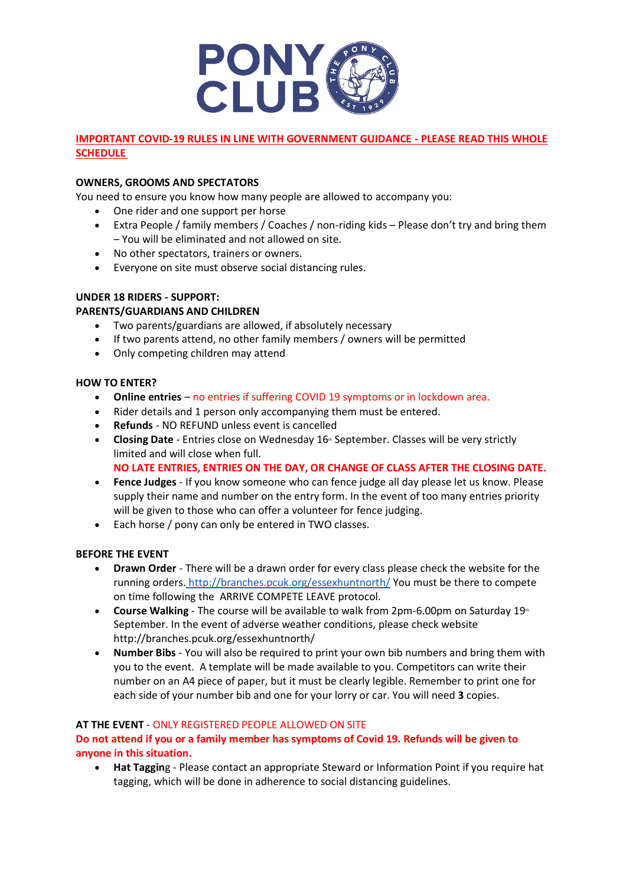

# **IMPORTANT COVID-19 RULES IN LINE WITH GOVERNMENT GUIDANCE - PLEASE READ THIS WHOLE SCHEDULE**

#### **OWNERS, GROOMS AND SPECTATORS**

You need to ensure you know how many people are allowed to accompany you:

- One rider and one support per horse
- Extra People / family members / Coaches / non-riding kids Please don't try and bring them – You will be eliminated and not allowed on site.
- No other spectators, trainers or owners.
- Everyone on site must observe social distancing rules.

## **UNDER 18 RIDERS - SUPPORT:**

#### **PARENTS/GUARDIANS AND CHILDREN**

- Two parents/guardians are allowed, if absolutely necessary
- If two parents attend, no other family members / owners will be permitted
- Only competing children may attend

#### **HOW TO ENTER?**

- **Online entries** no entries if suffering COVID 19 symptoms or in lockdown area.
- Rider details and 1 person only accompanying them must be entered.
- **Refunds** NO REFUND unless event is cancelled
- **Closing Date** Entries close on Wednesday 16<sup>th</sup> September. Classes will be very strictly limited and will close when full.
	- **NO LATE ENTRIES, ENTRIES ON THE DAY, OR CHANGE OF CLASS AFTER THE CLOSING DATE.**
- **Fence Judges** If you know someone who can fence judge all day please let us know. Please supply their name and number on the entry form. In the event of too many entries priority will be given to those who can offer a volunteer for fence judging.
- Each horse / pony can only be entered in TWO classes.

#### **BEFORE THE EVENT**

- **Drawn Order** There will be a drawn order for every class please check the website for the running orders. <http://branches.pcuk.org/essexhuntnorth/> You must be there to compete on time following the ARRIVE COMPETE LEAVE protocol.
- **Course Walking** The course will be available to walk from 2pm-6.00pm on Saturday 19<sup>th</sup> September. In the event of adverse weather conditions, please check website http://branches.pcuk.org/essexhuntnorth/
- **Number Bibs** You will also be required to print your own bib numbers and bring them with you to the event. A template will be made available to you. Competitors can write their number on an A4 piece of paper, but it must be clearly legible. Remember to print one for each side of your number bib and one for your lorry or car. You will need **3** copies.

#### **AT THE EVENT** - ONLY REGISTERED PEOPLE ALLOWED ON SITE

## **Do not attend if you or a family member has symptoms of Covid 19. Refunds will be given to anyone in this situation.**

• **Hat Taggin**g - Please contact an appropriate Steward or Information Point if you require hat tagging, which will be done in adherence to social distancing guidelines.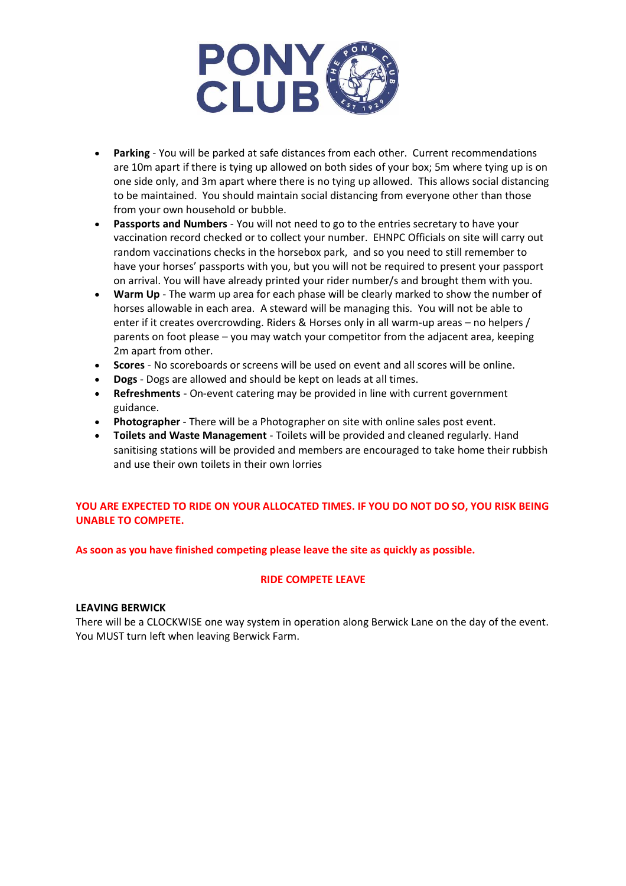

- **Parking** You will be parked at safe distances from each other. Current recommendations are 10m apart if there is tying up allowed on both sides of your box; 5m where tying up is on one side only, and 3m apart where there is no tying up allowed. This allows social distancing to be maintained. You should maintain social distancing from everyone other than those from your own household or bubble.
- **Passports and Numbers** You will not need to go to the entries secretary to have your vaccination record checked or to collect your number. EHNPC Officials on site will carry out random vaccinations checks in the horsebox park, and so you need to still remember to have your horses' passports with you, but you will not be required to present your passport on arrival. You will have already printed your rider number/s and brought them with you.
- **Warm Up** The warm up area for each phase will be clearly marked to show the number of horses allowable in each area. A steward will be managing this. You will not be able to enter if it creates overcrowding. Riders & Horses only in all warm-up areas – no helpers / parents on foot please – you may watch your competitor from the adjacent area, keeping 2m apart from other.
- **Scores** No scoreboards or screens will be used on event and all scores will be online.
- **Dogs** Dogs are allowed and should be kept on leads at all times.
- **Refreshments** On-event catering may be provided in line with current government guidance.
- **Photographer** There will be a Photographer on site with online sales post event.
- **Toilets and Waste Management**  Toilets will be provided and cleaned regularly. Hand sanitising stations will be provided and members are encouraged to take home their rubbish and use their own toilets in their own lorries

# **YOU ARE EXPECTED TO RIDE ON YOUR ALLOCATED TIMES. IF YOU DO NOT DO SO, YOU RISK BEING UNABLE TO COMPETE.**

#### **As soon as you have finished competing please leave the site as quickly as possible.**

#### **RIDE COMPETE LEAVE**

#### **LEAVING BERWICK**

There will be a CLOCKWISE one way system in operation along Berwick Lane on the day of the event. You MUST turn left when leaving Berwick Farm.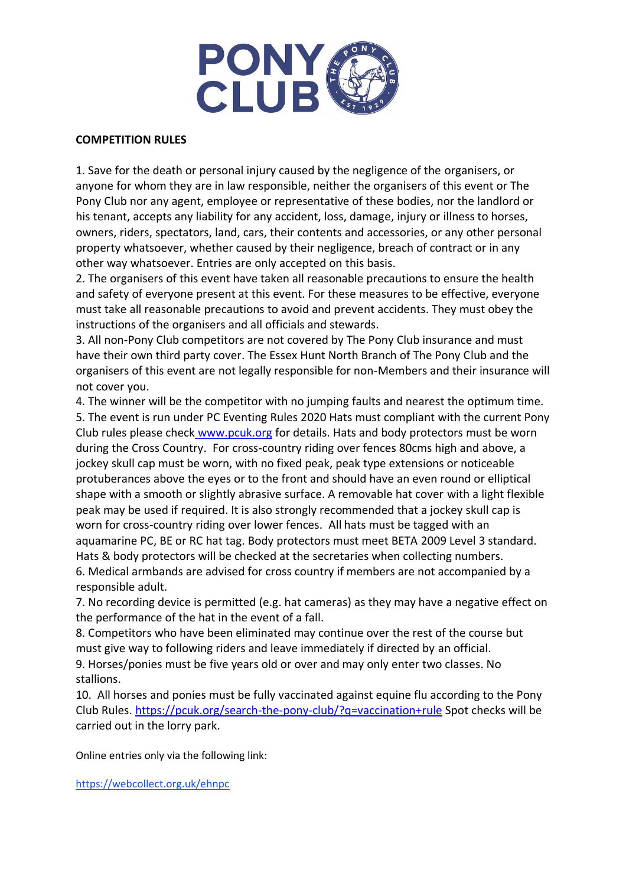

# **COMPETITION RULES**

1. Save for the death or personal injury caused by the negligence of the organisers, or anyone for whom they are in law responsible, neither the organisers of this event or The Pony Club nor any agent, employee or representative of these bodies, nor the landlord or his tenant, accepts any liability for any accident, loss, damage, injury or illness to horses, owners, riders, spectators, land, cars, their contents and accessories, or any other personal property whatsoever, whether caused by their negligence, breach of contract or in any other way whatsoever. Entries are only accepted on this basis.

2. The organisers of this event have taken all reasonable precautions to ensure the health and safety of everyone present at this event. For these measures to be effective, everyone must take all reasonable precautions to avoid and prevent accidents. They must obey the instructions of the organisers and all officials and stewards.

3. All non-Pony Club competitors are not covered by The Pony Club insurance and must have their own third party cover. The Essex Hunt North Branch of The Pony Club and the organisers of this event are not legally responsible for non-Members and their insurance will not cover you.

4. The winner will be the competitor with no jumping faults and nearest the optimum time. 5. The event is run under PC Eventing Rules 2020 Hats must compliant with the current Pony Club rules please check [www.pcuk.org](http://www.pcuk.org/) for details. Hats and body protectors must be worn during the Cross Country. For cross-country riding over fences 80cms high and above, a jockey skull cap must be worn, with no fixed peak, peak type extensions or noticeable protuberances above the eyes or to the front and should have an even round or elliptical shape with a smooth or slightly abrasive surface. A removable hat cover with a light flexible peak may be used if required. It is also strongly recommended that a jockey skull cap is worn for cross-country riding over lower fences. All hats must be tagged with an aquamarine PC, BE or RC hat tag. Body protectors must meet BETA 2009 Level 3 standard. Hats & body protectors will be checked at the secretaries when collecting numbers. 6. Medical armbands are advised for cross country if members are not accompanied by a responsible adult.

7. No recording device is permitted (e.g. hat cameras) as they may have a negative effect on the performance of the hat in the event of a fall.

8. Competitors who have been eliminated may continue over the rest of the course but must give way to following riders and leave immediately if directed by an official. 9. Horses/ponies must be five years old or over and may only enter two classes. No stallions.

10. All horses and ponies must be fully vaccinated against equine flu according to the Pony Club Rules. <https://pcuk.org/search-the-pony-club/?q=vaccination+rule> Spot checks will be carried out in the lorry park.

Online entries only via the following link:

<https://webcollect.org.uk/ehnpc>